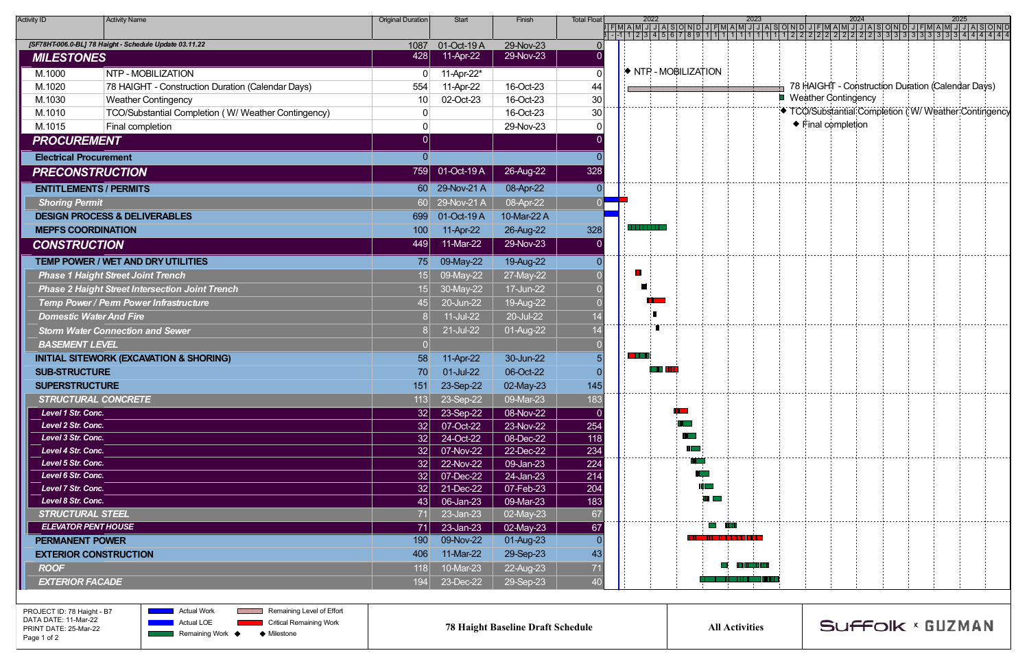| <b>Activity ID</b>                                     | <b>Activity Name</b>                                   | <b>Original Duration</b> | Start                  | Finish                 | <b>Total Float</b> | 2022     |                      | 20                   |
|--------------------------------------------------------|--------------------------------------------------------|--------------------------|------------------------|------------------------|--------------------|----------|----------------------|----------------------|
|                                                        | [SF78HT-006.0-BL] 78 Haight - Schedule Update 03.11.22 | 1087                     | 01-Oct-19 A            | 29-Nov-23              | $\Omega$           |          |                      |                      |
| <b>MILESTONES</b>                                      |                                                        | 428                      | 11-Apr-22              | 29-Nov-23              |                    |          |                      |                      |
| M.1000                                                 | NTP - MOBILIZATION                                     | 0                        | 11-Apr-22*             |                        | 0                  |          | ♦ NTP - MOBILIZATION |                      |
| M.1020                                                 | 78 HAIGHT - Construction Duration (Calendar Days)      | 554                      | 11-Apr-22              | 16-Oct-23              | 44                 |          |                      |                      |
| M.1030                                                 | <b>Weather Contingency</b>                             | 10                       | 02-Oct-23              | 16-Oct-23              | 30                 |          |                      |                      |
| M.1010                                                 | TCO/Substantial Completion (W/ Weather Contingency)    | 0                        |                        | 16-Oct-23              | 30                 |          |                      |                      |
| M.1015                                                 | Final completion                                       | 0                        |                        | 29-Nov-23              | U                  |          |                      |                      |
| <b>PROCUREMENT</b>                                     |                                                        | 0                        |                        |                        |                    |          |                      |                      |
| <b>Electrical Procurement</b>                          |                                                        | 0                        |                        |                        |                    |          |                      |                      |
| <b>PRECONSTRUCTION</b>                                 |                                                        | 759                      | 01-Oct-19 A            | 26-Aug-22              | 328                |          |                      |                      |
| <b>ENTITLEMENTS / PERMITS</b>                          |                                                        | 60                       | 29-Nov-21 A            | 08-Apr-22              |                    |          |                      |                      |
| <b>Shoring Permit</b>                                  |                                                        | 60 <sup>2</sup>          | 29-Nov-21 A            | 08-Apr-22              | 0                  |          |                      |                      |
|                                                        | <b>DESIGN PROCESS &amp; DELIVERABLES</b>               | 699                      | 01-Oct-19 A            | 10-Mar-22 A            |                    |          |                      |                      |
| <b>MEPFS COORDINATION</b>                              |                                                        | 100                      | 11-Apr-22              | 26-Aug-22              | 328                | n martin |                      |                      |
| <b>CONSTRUCTION</b>                                    |                                                        | 449                      | 11-Mar-22              | 29-Nov-23              |                    |          |                      |                      |
|                                                        | TEMP POWER / WET AND DRY UTILITIES                     | 75                       | 09-May-22              | 19-Aug-22              |                    |          |                      |                      |
|                                                        | <b>Phase 1 Haight Street Joint Trench</b>              | 15                       | $09-May-22$            | 27-May-22              |                    | Ш        |                      |                      |
| <b>Phase 2 Haight Street Intersection Joint Trench</b> | 15                                                     | $30-May-22$              | 17-Jun-22              |                        |                    |          |                      |                      |
|                                                        | Temp Power / Perm Power Infrastructure                 | 45                       | 20-Jun-22              | 19-Aug-22              |                    |          |                      |                      |
| <b>Domestic Water And Fire</b>                         |                                                        | 8                        | 11-Jul-22              | 20-Jul-22              | 14                 |          |                      |                      |
|                                                        | <b>Storm Water Connection and Sewer</b>                | 8                        | 21-Jul-22              | $01-Aug-22$            | 14                 |          |                      |                      |
| <b>BASEMENT LEVEL</b>                                  |                                                        |                          |                        |                        |                    |          |                      |                      |
|                                                        | <b>INITIAL SITEWORK (EXCAVATION &amp; SHORING)</b>     |                          |                        | 30-Jun-22              | 5                  | n an a   |                      |                      |
| <b>SUB-STRUCTURE</b>                                   |                                                        | 70                       | 01-Jul-22              | 06-Oct-22              |                    |          | n m                  |                      |
| <b>SUPERSTRUCTURE</b>                                  |                                                        | 151                      | 23-Sep-22              | 02-May-23              | 145                |          |                      |                      |
|                                                        | <b>STRUCTURAL CONCRETE</b>                             | 113                      | 23-Sep-22              | 09-Mar-23              | 183                |          |                      |                      |
| Level 1 Str. Conc.                                     |                                                        | 32                       | 23-Sep-22              | 08-Nov-22              |                    |          |                      |                      |
| Level 2 Str. Conc.                                     |                                                        | 32                       | 07-Oct-22              | 23-Nov-22              | 254                |          | <b>The Contract</b>  |                      |
| Level 3 Str. Conc.                                     |                                                        | 32                       | 24-Oct-22              | $08$ -Dec-22           | 118                |          | <b>The Contract</b>  |                      |
| Level 4 Str. Conc.                                     |                                                        | 32                       | 07-Nov-22              | 22-Dec-22              | 234                |          | $\mathbb{R}^n$       |                      |
| Level 5 Str. Conc.                                     |                                                        | 32                       | 22-Nov-22              | 09-Jan-23              | 224                |          | $\sim 100$           |                      |
| Level 6 Str. Conc.<br>Level 7 Str. Conc.               |                                                        | 32 <br>32                | 07-Dec-22<br>21-Dec-22 | 24-Jan-23<br>07-Feb-23 | 214<br>204         |          |                      | II <b>The Street</b> |
| Level 8 Str. Conc.                                     |                                                        | 43                       | 06-Jan-23              | 09-Mar-23              | 183                |          |                      | <b>THE CONTRACT</b>  |
| <b>STRUCTURAL STEEL</b>                                |                                                        | 71                       | $23$ -Jan- $23$        | 02-May-23              | 67                 |          |                      |                      |
| <b>ELEVATOR PENT HOUSE</b>                             |                                                        | 71                       | $23$ -Jan- $23$        | 02-May-23              | 67                 |          |                      | ti titl              |
| <b>PERMANENT POWER</b>                                 |                                                        | 190                      | 09-Nov-22              | 01-Aug-23              |                    |          |                      | .                    |
|                                                        | <b>EXTERIOR CONSTRUCTION</b>                           | 406                      | 11-Mar-22              | 29-Sep-23              | 43                 |          |                      |                      |
| <b>ROOF</b>                                            |                                                        | 118                      | 10-Mar-23              | 22-Aug-23              | 71                 |          |                      | DI L                 |
| <b>EXTERIOR FACADE</b>                                 |                                                        | 194                      | 23-Dec-22              | 29-Sep-23              | 40                 |          |                      | a shekarar 1991 - A  |

| 2022<br><u>गगवाडालाग</u>                              |                           | 2023<br><u>JFMAMJJJASOND</u> |        |                       |                               | 2024<br>JFMAMJ                   |                                                    |                                                    |  | 2025<br>JASOND |  |                                                   |                                                    |                                                      |
|-------------------------------------------------------|---------------------------|------------------------------|--------|-----------------------|-------------------------------|----------------------------------|----------------------------------------------------|----------------------------------------------------|--|----------------|--|---------------------------------------------------|----------------------------------------------------|------------------------------------------------------|
| F[MA[M]<br>F<br>$-1 - 1$<br>21<br>3<br>$\overline{1}$ | 5<br>4<br>$6\overline{6}$ | 8<br>্য                      |        | $\overline{1}$        |                               | $\overline{2}$<br>$\overline{2}$ | $\overline{2}$<br>$\overline{2}$<br>$\overline{2}$ | $\overline{2}$<br>$\overline{2}$<br>$\overline{2}$ |  |                |  | ग<br>333                                          | $\overline{4}$<br>$\overline{4}$<br>$\overline{4}$ | 414<br>$\overline{4}$                                |
|                                                       |                           |                              |        |                       |                               |                                  |                                                    |                                                    |  |                |  |                                                   |                                                    |                                                      |
|                                                       |                           |                              |        |                       |                               |                                  |                                                    |                                                    |  |                |  |                                                   |                                                    |                                                      |
|                                                       | NTP - MOBILIZATION        |                              |        |                       |                               |                                  |                                                    |                                                    |  |                |  |                                                   |                                                    |                                                      |
|                                                       |                           |                              |        |                       |                               |                                  |                                                    |                                                    |  |                |  | 78 HAIGHT - Construction Duration (Calendar Days) |                                                    |                                                      |
|                                                       |                           |                              |        |                       |                               |                                  |                                                    | <b>Weather Contingency</b>                         |  |                |  |                                                   |                                                    |                                                      |
|                                                       |                           |                              |        |                       |                               |                                  |                                                    |                                                    |  |                |  |                                                   |                                                    | ◆ TCO/Substantial Completion (W/ Weather Contingency |
|                                                       |                           |                              |        |                       |                               |                                  |                                                    | ◆ Final completion                                 |  |                |  |                                                   |                                                    |                                                      |
|                                                       |                           |                              |        |                       |                               |                                  |                                                    |                                                    |  |                |  |                                                   |                                                    |                                                      |
|                                                       |                           |                              |        |                       |                               |                                  |                                                    |                                                    |  |                |  |                                                   |                                                    |                                                      |
|                                                       |                           |                              |        |                       |                               |                                  |                                                    |                                                    |  |                |  |                                                   |                                                    |                                                      |
|                                                       |                           |                              |        |                       |                               |                                  |                                                    |                                                    |  |                |  |                                                   |                                                    |                                                      |
|                                                       |                           |                              |        |                       |                               |                                  |                                                    |                                                    |  |                |  |                                                   |                                                    |                                                      |
|                                                       |                           |                              |        |                       |                               |                                  |                                                    |                                                    |  |                |  |                                                   |                                                    |                                                      |
|                                                       |                           |                              |        |                       |                               |                                  |                                                    |                                                    |  |                |  |                                                   |                                                    |                                                      |
| <b>.</b>                                              |                           |                              |        |                       |                               |                                  |                                                    |                                                    |  |                |  |                                                   |                                                    |                                                      |
|                                                       |                           |                              |        |                       |                               |                                  |                                                    |                                                    |  |                |  |                                                   |                                                    |                                                      |
|                                                       |                           |                              |        |                       |                               |                                  |                                                    |                                                    |  |                |  |                                                   |                                                    |                                                      |
| m                                                     |                           |                              |        |                       |                               |                                  |                                                    |                                                    |  |                |  |                                                   |                                                    |                                                      |
|                                                       |                           |                              |        |                       |                               |                                  |                                                    |                                                    |  |                |  |                                                   |                                                    |                                                      |
|                                                       |                           |                              |        |                       |                               |                                  |                                                    |                                                    |  |                |  |                                                   |                                                    |                                                      |
|                                                       |                           |                              |        |                       |                               |                                  |                                                    |                                                    |  |                |  |                                                   |                                                    |                                                      |
|                                                       |                           |                              |        |                       |                               |                                  |                                                    |                                                    |  |                |  |                                                   |                                                    |                                                      |
|                                                       | П                         |                              |        |                       |                               |                                  |                                                    |                                                    |  |                |  |                                                   |                                                    |                                                      |
|                                                       |                           |                              |        |                       |                               |                                  |                                                    |                                                    |  |                |  |                                                   |                                                    |                                                      |
|                                                       |                           |                              |        |                       |                               |                                  |                                                    |                                                    |  |                |  |                                                   |                                                    |                                                      |
|                                                       | <b>THE REAL</b>           |                              |        |                       |                               |                                  |                                                    |                                                    |  |                |  |                                                   |                                                    |                                                      |
|                                                       |                           |                              |        |                       |                               |                                  |                                                    |                                                    |  |                |  |                                                   |                                                    |                                                      |
|                                                       |                           |                              |        |                       |                               |                                  |                                                    |                                                    |  |                |  |                                                   |                                                    |                                                      |
|                                                       |                           |                              |        |                       |                               |                                  |                                                    |                                                    |  |                |  |                                                   |                                                    |                                                      |
|                                                       |                           |                              |        |                       |                               |                                  |                                                    |                                                    |  |                |  |                                                   |                                                    |                                                      |
|                                                       |                           |                              |        |                       |                               |                                  |                                                    |                                                    |  |                |  |                                                   |                                                    |                                                      |
|                                                       |                           | Ш                            |        |                       |                               |                                  |                                                    |                                                    |  |                |  |                                                   |                                                    |                                                      |
|                                                       |                           |                              |        |                       |                               |                                  |                                                    |                                                    |  |                |  |                                                   |                                                    |                                                      |
|                                                       |                           |                              |        |                       |                               |                                  |                                                    |                                                    |  |                |  |                                                   |                                                    |                                                      |
|                                                       |                           |                              |        |                       |                               |                                  |                                                    |                                                    |  |                |  |                                                   |                                                    |                                                      |
|                                                       |                           |                              |        |                       |                               |                                  |                                                    |                                                    |  |                |  |                                                   |                                                    |                                                      |
|                                                       |                           |                              |        |                       |                               |                                  |                                                    |                                                    |  |                |  |                                                   |                                                    |                                                      |
|                                                       |                           |                              |        | <b>The Co</b>         |                               |                                  |                                                    |                                                    |  |                |  |                                                   |                                                    |                                                      |
|                                                       |                           | M                            | П<br>ш | 11 T T                | <b>The Contract of Street</b> |                                  |                                                    |                                                    |  |                |  |                                                   |                                                    |                                                      |
|                                                       |                           |                              |        |                       |                               |                                  |                                                    |                                                    |  |                |  |                                                   |                                                    |                                                      |
|                                                       |                           |                              |        | I TILL TILL           |                               |                                  |                                                    |                                                    |  |                |  |                                                   |                                                    |                                                      |
|                                                       |                           |                              |        |                       |                               |                                  |                                                    |                                                    |  |                |  |                                                   |                                                    |                                                      |
|                                                       |                           |                              |        |                       |                               |                                  |                                                    |                                                    |  |                |  |                                                   |                                                    |                                                      |
|                                                       |                           |                              |        |                       |                               |                                  |                                                    |                                                    |  |                |  |                                                   |                                                    |                                                      |
|                                                       |                           |                              |        |                       |                               |                                  |                                                    |                                                    |  |                |  |                                                   |                                                    |                                                      |
|                                                       |                           |                              |        | <b>All Activities</b> |                               |                                  | Suffolk × GUZMAN                                   |                                                    |  |                |  |                                                   |                                                    |                                                      |
|                                                       |                           |                              |        |                       |                               |                                  |                                                    |                                                    |  |                |  |                                                   |                                                    |                                                      |

PROJECT ID: 78 Haight - B7 DATA DATE: 11-Mar-22 PRINT DATE: 25-Mar-22 Page 1 of 2

**REMINING Remaining Level of Effort Actual Work** Actual LOE  $\mathcal{L}(\mathcal{L})$  and  $\mathcal{L}(\mathcal{L})$  $\mathcal{L}(\mathcal{A})$ **Remaining Work**  $\blacklozenge$ ◆ Milestone

**Critical Remaining Work** 

**78 Haight Baseline Draft Schedule All Activities**